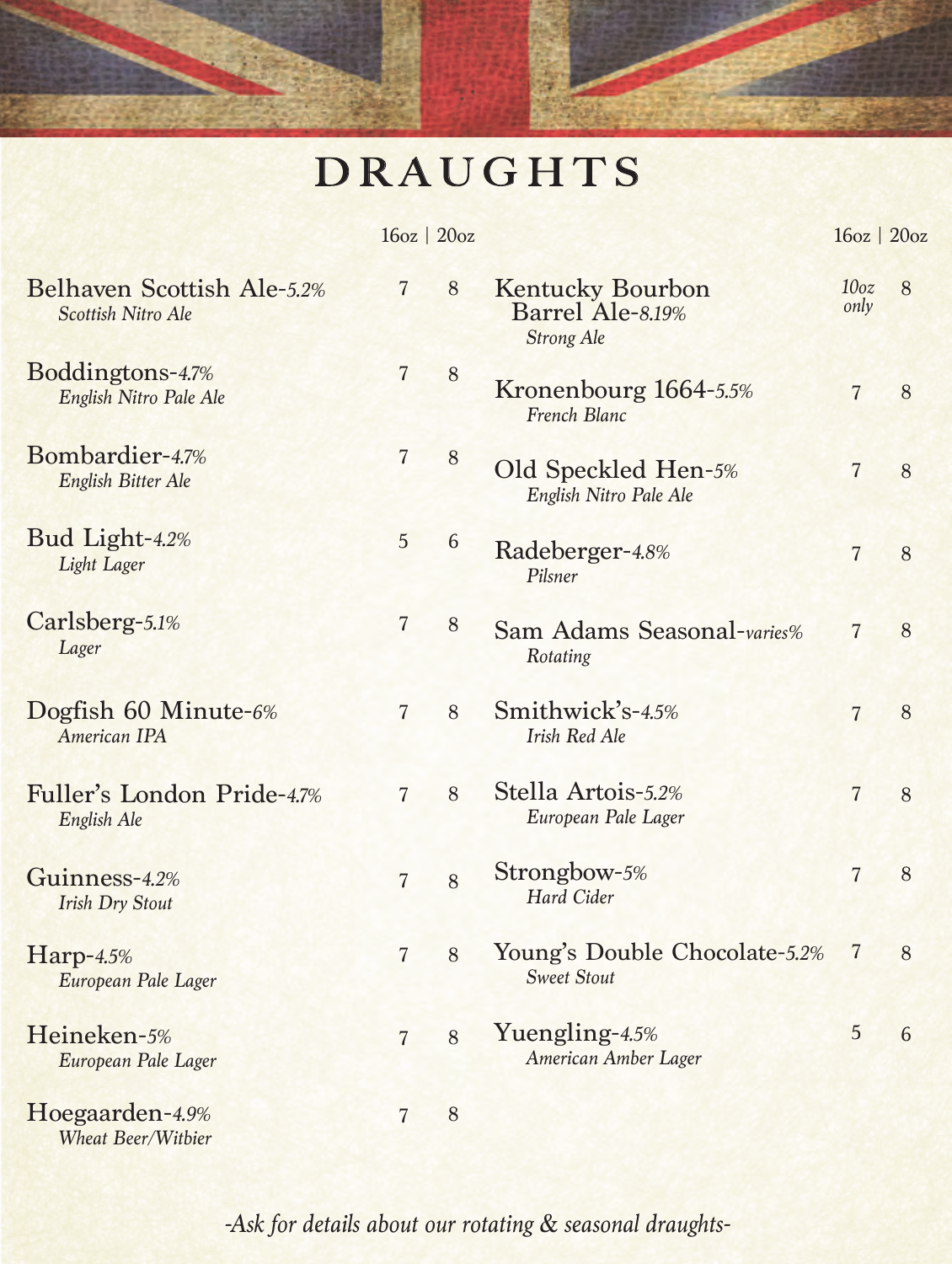## **DRAUGHTS**

|                                                  | $16oz$   $20oz$ |         |                                                                  | 16oz   20oz              |   |
|--------------------------------------------------|-----------------|---------|------------------------------------------------------------------|--------------------------|---|
| Belhaven Scottish Ale-5.2%<br>Scottish Nitro Ale | $\overline{7}$  | 8       | <b>Kentucky Bourbon</b><br>Barrel Ale-8.19%<br><b>Strong Ale</b> | 10 <sub>oz</sub><br>only | 8 |
| Boddingtons-4.7%<br>English Nitro Pale Ale       | $\overline{7}$  | 8       | Kronenbourg 1664-5.5%<br>French Blanc                            | $\overline{7}$           | 8 |
| Bombardier-47%<br>English Bitter Ale             | $\overline{7}$  | $\,8\,$ | Old Speckled Hen-5%<br>English Nitro Pale Ale                    | $\overline{7}$           | 8 |
| Bud Light-4.2%<br>Light Lager                    | 5               | 6       | Radeberger-4.8%<br>Pilsner                                       | $\overline{7}$           | 8 |
| Carlsberg-5.1%<br>Lager                          | $\overline{7}$  | 8       | Sam Adams Seasonal-varies%<br>Rotating                           | $\overline{7}$           | 8 |
| Dogfish 60 Minute- $6\%$<br>American IPA         | $\overline{7}$  | 8       | Smithwick's-4.5%<br><b>Irish Red Ale</b>                         | $\overline{7}$           | 8 |
| Fuller's London Pride-4.7%<br>English Ale        | $\overline{7}$  | 8       | Stella Artois-5.2%<br>European Pale Lager                        | $\overline{7}$           | 8 |
| Guinness-4.2%<br><b>Irish Dry Stout</b>          | $\overline{7}$  | 8       | Strongbow-5%<br>Hard Cider                                       | $\overline{7}$           | 8 |
| Harp-4.5%<br>European Pale Lager                 | $\overline{7}$  | 8       | Young's Double Chocolate-5.2%<br><b>Sweet Stout</b>              | $\overline{7}$           | 8 |
| Heineken-5%<br>European Pale Lager               | $\overline{7}$  | 8       | Yuengling-4.5%<br>American Amber Lager                           | 5                        | 6 |
| Hoegaarden-4.9%<br><b>Wheat Beer/Witbier</b>     | $\overline{7}$  | 8       |                                                                  |                          |   |

*-Ask for details about our rotating & seasonal draughts-*